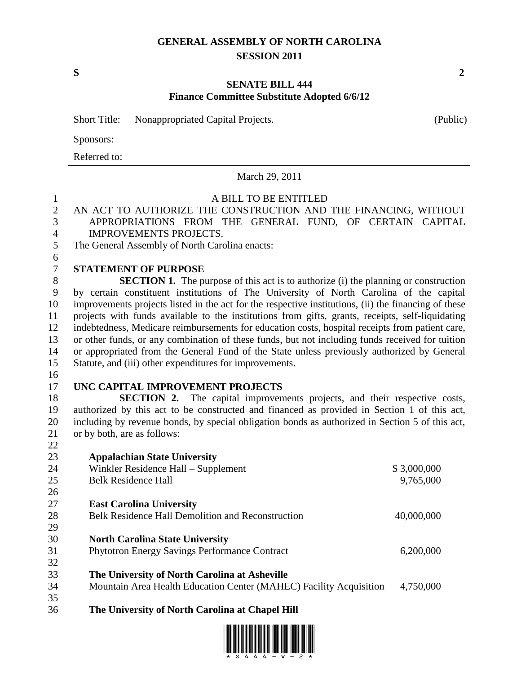## **GENERAL ASSEMBLY OF NORTH CAROLINA SESSION 2011**

**S 2**

## **SENATE BILL 444 Finance Committee Substitute Adopted 6/6/12**

Short Title: Nonappropriated Capital Projects. (Public)

Sponsors:

Referred to:

# March 29, 2011

| $\mathbf{1}$   | A BILL TO BE ENTITLED                                                                                |             |  |  |
|----------------|------------------------------------------------------------------------------------------------------|-------------|--|--|
| $\overline{2}$ | AN ACT TO AUTHORIZE THE CONSTRUCTION AND THE FINANCING, WITHOUT                                      |             |  |  |
| 3              | APPROPRIATIONS FROM THE GENERAL FUND, OF CERTAIN CAPITAL                                             |             |  |  |
| $\overline{4}$ | <b>IMPROVEMENTS PROJECTS.</b>                                                                        |             |  |  |
| 5              | The General Assembly of North Carolina enacts:                                                       |             |  |  |
| 6              |                                                                                                      |             |  |  |
| $\overline{7}$ | <b>STATEMENT OF PURPOSE</b>                                                                          |             |  |  |
| 8              | <b>SECTION 1.</b> The purpose of this act is to authorize (i) the planning or construction           |             |  |  |
| 9              | by certain constituent institutions of The University of North Carolina of the capital               |             |  |  |
| 10             | improvements projects listed in the act for the respective institutions, (ii) the financing of these |             |  |  |
| 11             | projects with funds available to the institutions from gifts, grants, receipts, self-liquidating     |             |  |  |
| 12             | indebtedness, Medicare reimbursements for education costs, hospital receipts from patient care,      |             |  |  |
| 13             | or other funds, or any combination of these funds, but not including funds received for tuition      |             |  |  |
| 14             | or appropriated from the General Fund of the State unless previously authorized by General           |             |  |  |
| 15             | Statute, and (iii) other expenditures for improvements.                                              |             |  |  |
| 16             |                                                                                                      |             |  |  |
| 17             | UNC CAPITAL IMPROVEMENT PROJECTS                                                                     |             |  |  |
| 18             | <b>SECTION 2.</b> The capital improvements projects, and their respective costs,                     |             |  |  |
| 19             | authorized by this act to be constructed and financed as provided in Section 1 of this act,          |             |  |  |
| 20             | including by revenue bonds, by special obligation bonds as authorized in Section 5 of this act,      |             |  |  |
| 21             | or by both, are as follows:                                                                          |             |  |  |
| 22             |                                                                                                      |             |  |  |
| 23             | <b>Appalachian State University</b>                                                                  |             |  |  |
| 24             | Winkler Residence Hall - Supplement                                                                  | \$3,000,000 |  |  |
| 25             | <b>Belk Residence Hall</b>                                                                           | 9,765,000   |  |  |
| 26             |                                                                                                      |             |  |  |
| 27             | <b>East Carolina University</b>                                                                      |             |  |  |
| 28             | Belk Residence Hall Demolition and Reconstruction                                                    | 40,000,000  |  |  |
| 29             |                                                                                                      |             |  |  |
| 30             | <b>North Carolina State University</b>                                                               |             |  |  |
| 31             | <b>Phytotron Energy Savings Performance Contract</b>                                                 | 6,200,000   |  |  |
| 32             |                                                                                                      |             |  |  |
| 33             | The University of North Carolina at Asheville                                                        |             |  |  |
| 34             | Mountain Area Health Education Center (MAHEC) Facility Acquisition                                   | 4,750,000   |  |  |
| 35             |                                                                                                      |             |  |  |

**The University of North Carolina at Chapel Hill**

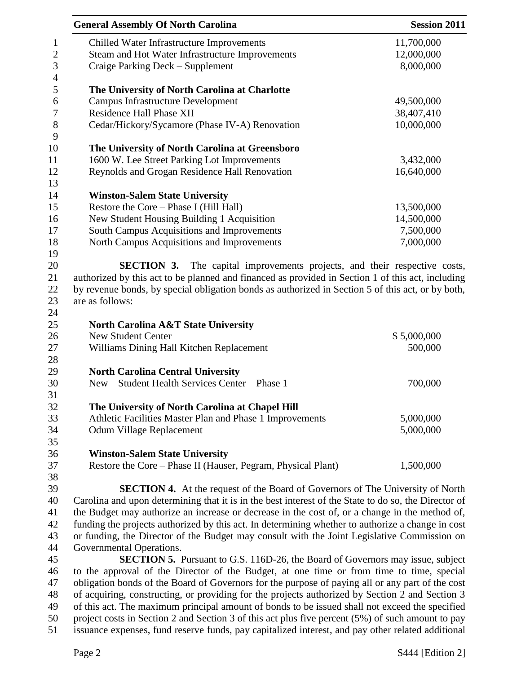|                                                                                                                                                                                                        | <b>General Assembly Of North Carolina</b>                                                            | <b>Session 2011</b> |
|--------------------------------------------------------------------------------------------------------------------------------------------------------------------------------------------------------|------------------------------------------------------------------------------------------------------|---------------------|
|                                                                                                                                                                                                        | Chilled Water Infrastructure Improvements                                                            | 11,700,000          |
|                                                                                                                                                                                                        | Steam and Hot Water Infrastructure Improvements                                                      | 12,000,000          |
|                                                                                                                                                                                                        | Craige Parking Deck - Supplement                                                                     | 8,000,000           |
|                                                                                                                                                                                                        |                                                                                                      |                     |
|                                                                                                                                                                                                        | The University of North Carolina at Charlotte                                                        |                     |
|                                                                                                                                                                                                        | <b>Campus Infrastructure Development</b>                                                             | 49,500,000          |
|                                                                                                                                                                                                        | <b>Residence Hall Phase XII</b>                                                                      | 38,407,410          |
|                                                                                                                                                                                                        | Cedar/Hickory/Sycamore (Phase IV-A) Renovation                                                       | 10,000,000          |
|                                                                                                                                                                                                        | The University of North Carolina at Greensboro                                                       |                     |
|                                                                                                                                                                                                        | 1600 W. Lee Street Parking Lot Improvements                                                          | 3,432,000           |
|                                                                                                                                                                                                        | Reynolds and Grogan Residence Hall Renovation                                                        | 16,640,000          |
|                                                                                                                                                                                                        |                                                                                                      |                     |
|                                                                                                                                                                                                        | <b>Winston-Salem State University</b>                                                                |                     |
|                                                                                                                                                                                                        | Restore the Core - Phase I (Hill Hall)                                                               | 13,500,000          |
|                                                                                                                                                                                                        | New Student Housing Building 1 Acquisition                                                           | 14,500,000          |
|                                                                                                                                                                                                        | South Campus Acquisitions and Improvements                                                           | 7,500,000           |
|                                                                                                                                                                                                        | North Campus Acquisitions and Improvements                                                           | 7,000,000           |
|                                                                                                                                                                                                        |                                                                                                      |                     |
|                                                                                                                                                                                                        | The capital improvements projects, and their respective costs,<br><b>SECTION 3.</b>                  |                     |
|                                                                                                                                                                                                        |                                                                                                      |                     |
| authorized by this act to be planned and financed as provided in Section 1 of this act, including<br>by revenue bonds, by special obligation bonds as authorized in Section 5 of this act, or by both, |                                                                                                      |                     |
|                                                                                                                                                                                                        | are as follows:                                                                                      |                     |
|                                                                                                                                                                                                        |                                                                                                      |                     |
|                                                                                                                                                                                                        |                                                                                                      |                     |
|                                                                                                                                                                                                        | <b>North Carolina A&amp;T State University</b><br><b>New Student Center</b>                          | \$5,000,000         |
|                                                                                                                                                                                                        | Williams Dining Hall Kitchen Replacement                                                             | 500,000             |
|                                                                                                                                                                                                        |                                                                                                      |                     |
|                                                                                                                                                                                                        | <b>North Carolina Central University</b>                                                             |                     |
|                                                                                                                                                                                                        | New – Student Health Services Center – Phase 1                                                       | 700,000             |
|                                                                                                                                                                                                        |                                                                                                      |                     |
|                                                                                                                                                                                                        | The University of North Carolina at Chapel Hill                                                      |                     |
|                                                                                                                                                                                                        | Athletic Facilities Master Plan and Phase 1 Improvements                                             | 5,000,000           |
|                                                                                                                                                                                                        | Odum Village Replacement                                                                             | 5,000,000           |
|                                                                                                                                                                                                        |                                                                                                      |                     |
|                                                                                                                                                                                                        | <b>Winston-Salem State University</b>                                                                |                     |
|                                                                                                                                                                                                        | Restore the Core - Phase II (Hauser, Pegram, Physical Plant)                                         | 1,500,000           |
|                                                                                                                                                                                                        |                                                                                                      |                     |
|                                                                                                                                                                                                        | <b>SECTION 4.</b> At the request of the Board of Governors of The University of North                |                     |
|                                                                                                                                                                                                        | Carolina and upon determining that it is in the best interest of the State to do so, the Director of |                     |
|                                                                                                                                                                                                        | the Budget may authorize an increase or decrease in the cost of, or a change in the method of,       |                     |
|                                                                                                                                                                                                        | funding the projects authorized by this act. In determining whether to authorize a change in cost    |                     |
|                                                                                                                                                                                                        | or funding, the Director of the Budget may consult with the Joint Legislative Commission on          |                     |
|                                                                                                                                                                                                        | Governmental Operations.                                                                             |                     |
|                                                                                                                                                                                                        | <b>SECTION 5.</b> Pursuant to G.S. 116D-26, the Board of Governors may issue, subject                |                     |
|                                                                                                                                                                                                        |                                                                                                      |                     |
|                                                                                                                                                                                                        | to the approval of the Director of the Budget, at one time or from time to time, special             |                     |
|                                                                                                                                                                                                        | obligation bonds of the Board of Governors for the purpose of paying all or any part of the cost     |                     |
|                                                                                                                                                                                                        | of acquiring, constructing, or providing for the projects authorized by Section 2 and Section 3      |                     |
|                                                                                                                                                                                                        | of this act. The maximum principal amount of bonds to be issued shall not exceed the specified       |                     |
|                                                                                                                                                                                                        | project costs in Section 2 and Section 3 of this act plus five percent (5%) of such amount to pay    |                     |

issuance expenses, fund reserve funds, pay capitalized interest, and pay other related additional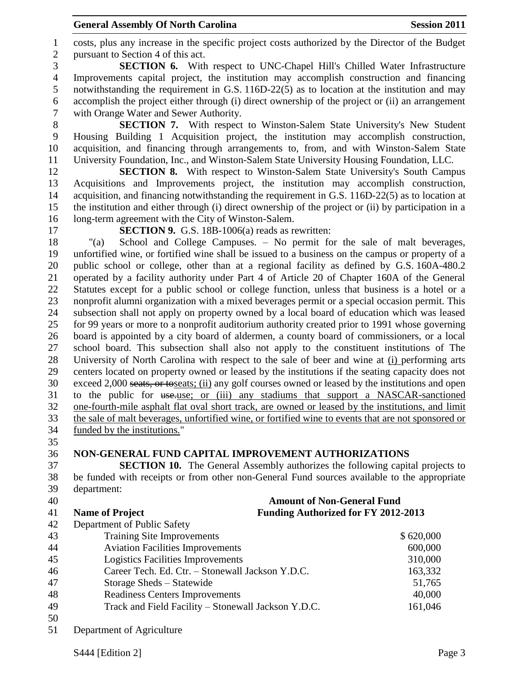#### **General Assembly Of North Carolina Session 2011**

 costs, plus any increase in the specific project costs authorized by the Director of the Budget pursuant to Section 4 of this act.

 **SECTION 6.** With respect to UNC-Chapel Hill's Chilled Water Infrastructure Improvements capital project, the institution may accomplish construction and financing notwithstanding the requirement in G.S. 116D-22(5) as to location at the institution and may accomplish the project either through (i) direct ownership of the project or (ii) an arrangement with Orange Water and Sewer Authority.

 **SECTION 7.** With respect to Winston-Salem State University's New Student Housing Building 1 Acquisition project, the institution may accomplish construction, acquisition, and financing through arrangements to, from, and with Winston-Salem State University Foundation, Inc., and Winston-Salem State University Housing Foundation, LLC.

 **SECTION 8.** With respect to Winston-Salem State University's South Campus Acquisitions and Improvements project, the institution may accomplish construction, acquisition, and financing notwithstanding the requirement in G.S. 116D-22(5) as to location at the institution and either through (i) direct ownership of the project or (ii) by participation in a long-term agreement with the City of Winston-Salem.

**SECTION 9.** G.S. 18B-1006(a) reads as rewritten:

 "(a) School and College Campuses. – No permit for the sale of malt beverages, unfortified wine, or fortified wine shall be issued to a business on the campus or property of a public school or college, other than at a regional facility as defined by G.S. 160A-480.2 operated by a facility authority under Part 4 of Article 20 of Chapter 160A of the General Statutes except for a public school or college function, unless that business is a hotel or a nonprofit alumni organization with a mixed beverages permit or a special occasion permit. This subsection shall not apply on property owned by a local board of education which was leased for 99 years or more to a nonprofit auditorium authority created prior to 1991 whose governing board is appointed by a city board of aldermen, a county board of commissioners, or a local school board. This subsection shall also not apply to the constituent institutions of The University of North Carolina with respect to the sale of beer and wine at (i) performing arts centers located on property owned or leased by the institutions if the seating capacity does not exceed 2,000 seats, or toseats; (ii) any golf courses owned or leased by the institutions and open to the public for use.use; or (iii) any stadiums that support a NASCAR-sanctioned one-fourth-mile asphalt flat oval short track, are owned or leased by the institutions, and limit the sale of malt beverages, unfortified wine, or fortified wine to events that are not sponsored or funded by the institutions."

## **NON-GENERAL FUND CAPITAL IMPROVEMENT AUTHORIZATIONS**

 **SECTION 10.** The General Assembly authorizes the following capital projects to be funded with receipts or from other non-General Fund sources available to the appropriate department:

| 40 | <b>Amount of Non-General Fund</b>                   |                                            |
|----|-----------------------------------------------------|--------------------------------------------|
| 41 | <b>Name of Project</b>                              | <b>Funding Authorized for FY 2012-2013</b> |
| 42 | Department of Public Safety                         |                                            |
| 43 | <b>Training Site Improvements</b>                   | \$620,000                                  |
| 44 | <b>Aviation Facilities Improvements</b>             | 600,000                                    |
| 45 | <b>Logistics Facilities Improvements</b>            | 310,000                                    |
| 46 | Career Tech. Ed. Ctr. - Stonewall Jackson Y.D.C.    | 163,332                                    |
| 47 | Storage Sheds – Statewide                           | 51,765                                     |
| 48 | <b>Readiness Centers Improvements</b>               | 40,000                                     |
| 49 | Track and Field Facility - Stonewall Jackson Y.D.C. | 161,046                                    |
| 50 |                                                     |                                            |

Department of Agriculture